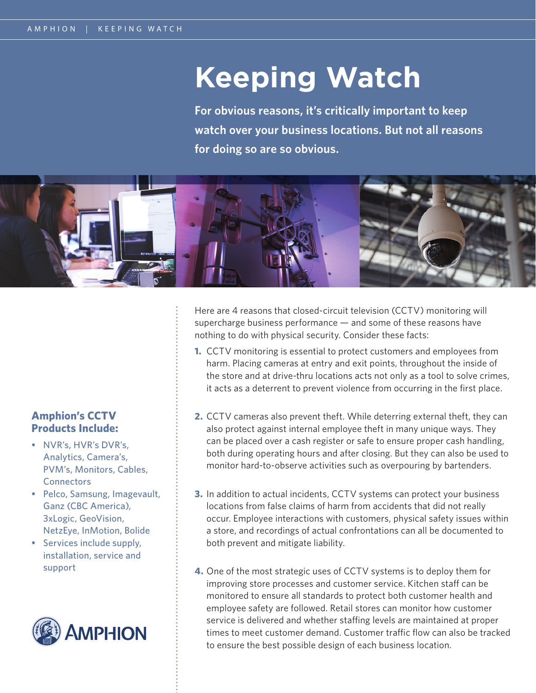# **Keeping Watch**

**For obvious reasons, it's critically important to keep watch over your business locations. But not all reasons for doing so are so obvious.** 



### **Amphion's CCTV Products Include:**

- NVR's, HVR's DVR's, Analytics, Camera's, PVM's, Monitors, Cables, **Connectors**
- Pelco, Samsung, Imagevault, Ganz (CBC America), 3xLogic, GeoVision, NetzEye, InMotion, Bolide
- Services include supply, installation, service and support



Here are 4 reasons that closed-circuit television (CCTV) monitoring will supercharge business performance — and some of these reasons have nothing to do with physical security. Consider these facts:

- **1.** CCTV monitoring is essential to protect customers and employees from harm. Placing cameras at entry and exit points, throughout the inside of the store and at drive-thru locations acts not only as a tool to solve crimes, it acts as a deterrent to prevent violence from occurring in the first place.
- **2.** CCTV cameras also prevent theft. While deterring external theft, they can also protect against internal employee theft in many unique ways. They can be placed over a cash register or safe to ensure proper cash handling, both during operating hours and after closing. But they can also be used to monitor hard-to-observe activities such as overpouring by bartenders.
- **3.** In addition to actual incidents, CCTV systems can protect your business locations from false claims of harm from accidents that did not really occur. Employee interactions with customers, physical safety issues within a store, and recordings of actual confrontations can all be documented to both prevent and mitigate liability.
- **4.** One of the most strategic uses of CCTV systems is to deploy them for improving store processes and customer service. Kitchen staff can be monitored to ensure all standards to protect both customer health and employee safety are followed. Retail stores can monitor how customer service is delivered and whether staffing levels are maintained at proper times to meet customer demand. Customer traffic flow can also be tracked to ensure the best possible design of each business location.